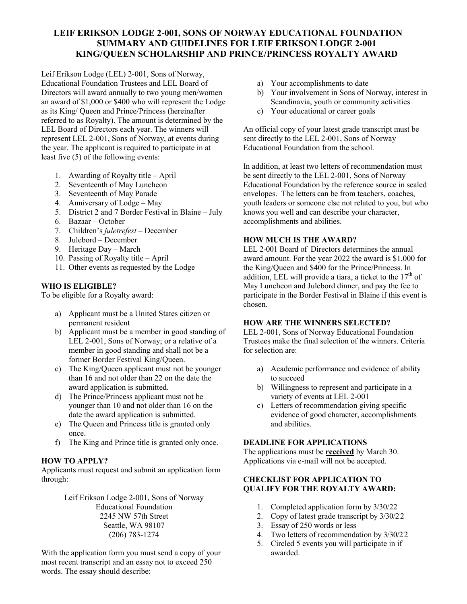# **LEIF ERIKSON LODGE 2-001, SONS OF NORWAY EDUCATIONAL FOUNDATION SUMMARY AND GUIDELINES FOR LEIF ERIKSON LODGE 2-001 KING/QUEEN SCHOLARSHIP AND PRINCE/PRINCESS ROYALTY AWARD**

Leif Erikson Lodge (LEL) 2-001, Sons of Norway, Educational Foundation Trustees and LEL Board of Directors will award annually to two young men/women an award of \$1,000 or \$400 who will represent the Lodge as its King/ Queen and Prince/Princess (hereinafter referred to as Royalty). The amount is determined by the LEL Board of Directors each year. The winners will represent LEL 2-001, Sons of Norway, at events during the year. The applicant is required to participate in at least five (5) of the following events:

- 1. Awarding of Royalty title April
- 2. Seventeenth of May Luncheon
- 3. Seventeenth of May Parade
- 4. Anniversary of Lodge May
- 5. District 2 and 7 Border Festival in Blaine July
- 6. Bazaar October
- 7. Children's *juletrefest*  December
- 8. Julebord December
- 9. Heritage Day March
- 10. Passing of Royalty title April
- 11. Other events as requested by the Lodge

## **WHO IS ELIGIBLE?**

To be eligible for a Royalty award:

- a) Applicant must be a United States citizen or permanent resident
- b) Applicant must be a member in good standing of LEL 2-001, Sons of Norway; or a relative of a member in good standing and shall not be a former Border Festival King/Queen.
- c) The King/Queen applicant must not be younger than 16 and not older than 22 on the date the award application is submitted.
- d) The Prince/Princess applicant must not be younger than 10 and not older than 16 on the date the award application is submitted.
- e) The Queen and Princess title is granted only once.
- f) The King and Prince title is granted only once.

## **HOW TO APPLY?**

Applicants must request and submit an application form through:

> Leif Erikson Lodge 2-001, Sons of Norway Educational Foundation 2245 NW 57th Street Seattle, WA 98107 (206) 783-1274

With the application form you must send a copy of your most recent transcript and an essay not to exceed 250 words. The essay should describe:

- a) Your accomplishments to date
- b) Your involvement in Sons of Norway, interest in Scandinavia, youth or community activities
- c) Your educational or career goals

An official copy of your latest grade transcript must be sent directly to the LEL 2-001, Sons of Norway Educational Foundation from the school.

In addition, at least two letters of recommendation must be sent directly to the LEL 2-001, Sons of Norway Educational Foundation by the reference source in sealed envelopes. The letters can be from teachers, coaches, youth leaders or someone else not related to you, but who knows you well and can describe your character, accomplishments and abilities.

## **HOW MUCH IS THE AWARD?**

LEL 2-001 Board of Directors determines the annual award amount. For the year 2022 the award is \$1,000 for the King/Queen and \$400 for the Prince/Princess. In addition, LEL will provide a tiara, a ticket to the  $17<sup>th</sup>$  of May Luncheon and Julebord dinner, and pay the fee to participate in the Border Festival in Blaine if this event is chosen.

#### **HOW ARE THE WINNERS SELECTED?**

LEL 2-001, Sons of Norway Educational Foundation Trustees make the final selection of the winners. Criteria for selection are:

- a) Academic performance and evidence of ability to succeed
- b) Willingness to represent and participate in a variety of events at LEL 2-001
- c) Letters of recommendation giving specific evidence of good character, accomplishments and abilities.

#### **DEADLINE FOR APPLICATIONS**

The applications must be **received** by March 30. Applications via e-mail will not be accepted.

## **CHECKLIST FOR APPLICATION TO QUALIFY FOR THE ROYALTY AWARD:**

- 1. Completed application form by 3/30/22
- 2. Copy of latest grade transcript by 3/30/22
- 3. Essay of 250 words or less
- 4. Two letters of recommendation by 3/30/22
- 5. Circled 5 events you will participate in if awarded.